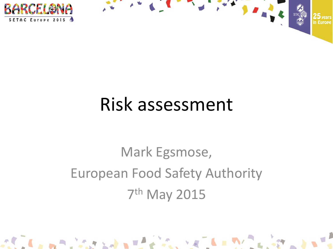



### Mark Egsmose, European Food Safety Authority 7 th May 2015

 $\mathbf{A} = \mathbf{A} \mathbf{A} + \mathbf{A} \mathbf{A} + \mathbf{A} \mathbf{A} + \mathbf{A} \mathbf{A} + \mathbf{A} \mathbf{A} + \mathbf{A} \mathbf{A} + \mathbf{A} \mathbf{A} + \mathbf{A} \mathbf{A} + \mathbf{A} \mathbf{A} + \mathbf{A} \mathbf{A} + \mathbf{A} \mathbf{A} + \mathbf{A} \mathbf{A} + \mathbf{A} \mathbf{A} + \mathbf{A} \mathbf{A} + \mathbf{A} \mathbf{A} + \mathbf{A} \mathbf{A} + \mathbf{A$ 

FRANK LEWIS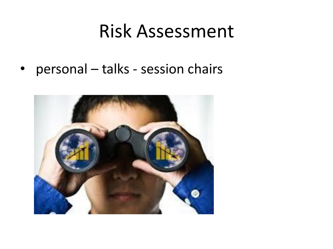• personal – talks - session chairs

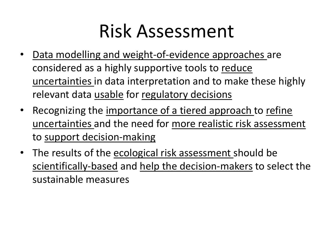- Data modelling and weight-of-evidence approaches are considered as a highly supportive tools to reduce uncertainties in data interpretation and to make these highly relevant data usable for regulatory decisions
- Recognizing the importance of a tiered approach to refine uncertainties and the need for more realistic risk assessment to support decision-making
- The results of the ecological risk assessment should be scientifically-based and help the decision-makers to select the sustainable measures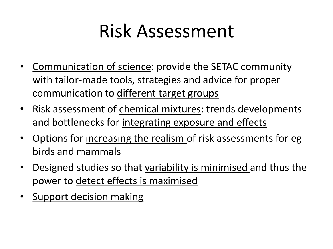- Communication of science: provide the SETAC community with tailor-made tools, strategies and advice for proper communication to different target groups
- Risk assessment of chemical mixtures: trends developments and bottlenecks for integrating exposure and effects
- Options for increasing the realism of risk assessments for eg birds and mammals
- Designed studies so that variability is minimised and thus the power to detect effects is maximised
- Support decision making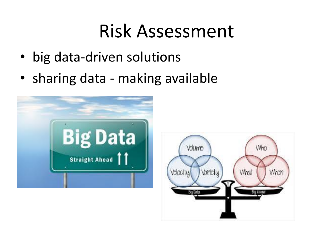- big data-driven solutions
- sharing data making available



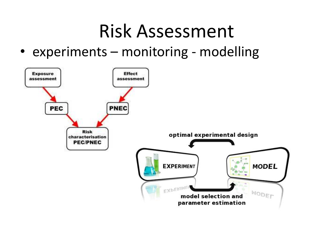• experiments – monitoring - modelling

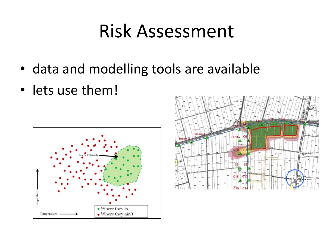- data and modelling tools are available
- lets use them!



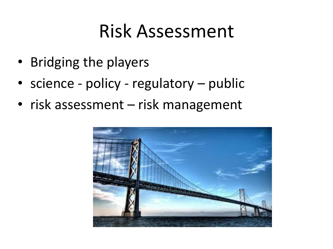- Bridging the players
- science policy regulatory public
- risk assessment risk management

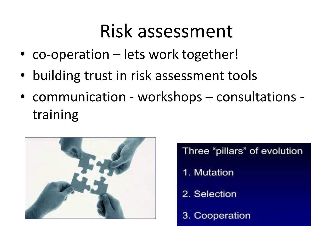- co-operation lets work together!
- building trust in risk assessment tools
- communication workshops consultations training



Three "pillars" of evolution

- 1. Mutation
- 2. Selection
- 3. Cooperation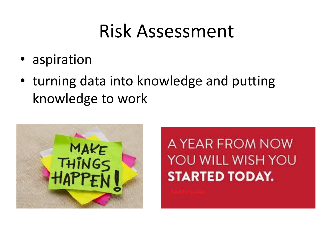- aspiration
- turning data into knowledge and putting knowledge to work



A YEAR FROM NOW YOU WILL WISH YOU **STARTED TODAY.**